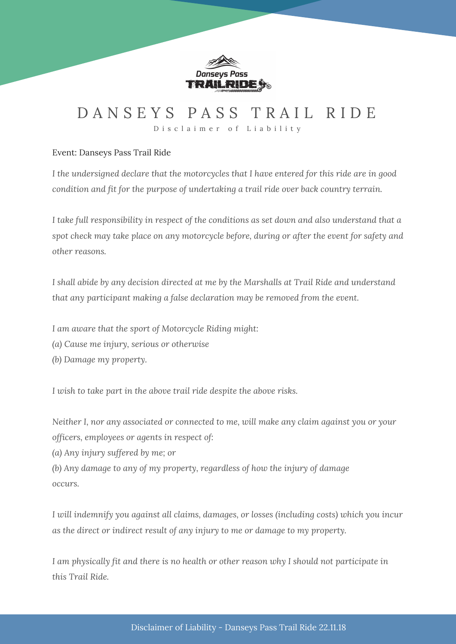

### D A N S E Y S P A S S T R A I L R I D E

D i s c l a i m e r o f L i a b i l i t y

### Event: Danseys Pass Trail Ride

*I the undersigned declare that the motorcycles that I have entered for this ride are in good condition and fit for the purpose of undertaking a trail ride over back country terrain.*

*I take full responsibility in respect of the conditions as set down and also understand that a spot check may take place on any motorcycle before, during or after the event for safety and other reasons.*

*I shall abide by any decision directed at me by the Marshalls at Trail Ride and understand that any participant making a false declaration may be removed from the event.*

*I am aware that the sport of Motorcycle Riding might:*

*(a) Cause me injury, serious or otherwise*

*(b) Damage my property.*

*I wish to take part in the above trail ride despite the above risks.*

*Neither I, nor any associated or connected to me, will make any claim against you or your officers, employees or agents in respect of:*

*(a) Any injury suffered by me; or*

*(b) Any damage to any of my property, regardless of how the injury of damage occurs.*

*I will indemnify you against all claims, damages, or losses (including costs) which you incur as the direct or indirect result of any injury to me or damage to my property.*

*I am physically fit and there is no health or other reason why I should not participate in this Trail Ride.*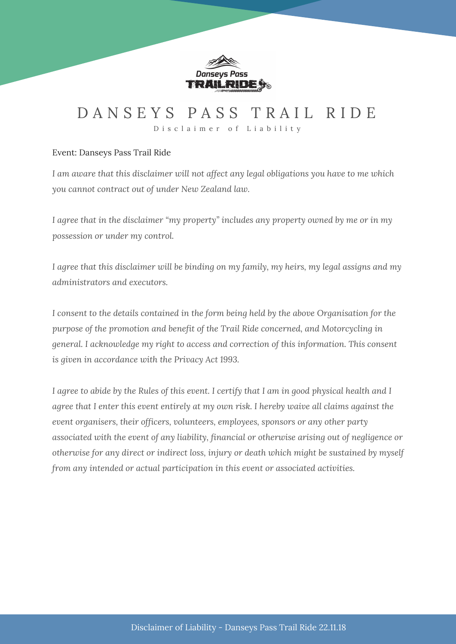

### DANSEYS PASS TRAIL RIDE

D i s c l a i m e r o f L i a b i l i t y

### Event: Danseys Pass Trail Ride

*I am aware that this disclaimer will not affect any legal obligations you have to me which you cannot contract out of under New Zealand law.*

*I agree that in the disclaimer "my property" includes any property owned by me or in my possession or under my control.*

*I agree that this disclaimer will be binding on my family, my heirs, my legal assigns and my administrators and executors.*

*I consent to the details contained in the form being held by the above Organisation for the purpose of the promotion and benefit of the Trail Ride concerned, and Motorcycling in general. I acknowledge my right to access and correction of this information. This consent is given in accordance with the Privacy Act 1993.*

I agree to abide by the Rules of this event. I certify that I am in good physical health and I *agree that I enter this event entirely at my own risk. I hereby waive all claims against the event organisers, their officers, volunteers, employees, sponsors or any other party associated with the event of any liability, financial or otherwise arising out of negligence or otherwise for any direct or indirect loss, injury or death which might be sustained by myself from any intended or actual participation in this event or associated activities.*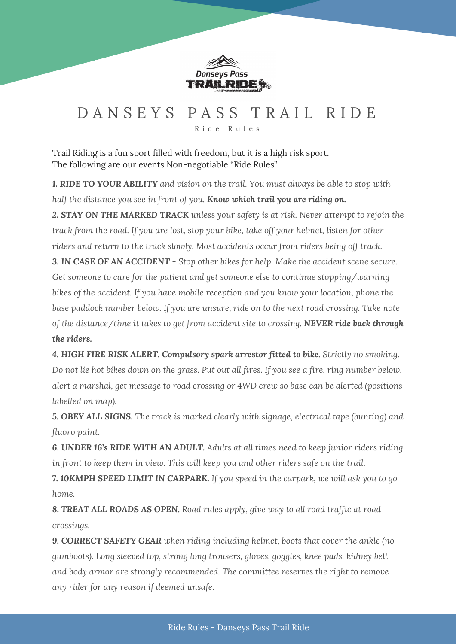

# D A N S E Y S P A S S T R A I L R I D E

R i d e R u l e s

Trail Riding is a fun sport filled with freedom, but it is a high risk sport. The following are our events Non-negotiable "Ride Rules"

*1. RIDE TO YOUR ABILITY and vision on the trail. You must always be able to stop with half the distance you see in front of you. Know which trail you are riding on.*

*2. STAY ON THE MARKED TRACK unless your safety is at risk. Never attempt to rejoin the track from the road. If you are lost, stop your bike, take off your helmet, listen for other riders and return to the track slowly. Most accidents occur from riders being off track.*

*3. IN CASE OF AN ACCIDENT - Stop other bikes for help. Make the accident scene secure. Get someone to care for the patient and get someone else to continue stopping/warning bikes of the accident. If you have mobile reception and you know your location, phone the base paddock number below. If you are unsure, ride on to the next road crossing. Take note of the distance/time it takes to get from accident site to crossing. NEVER ride back through the riders.*

*4. HIGH FIRE RISK ALERT. Compulsory spark arrestor fitted to bike. Strictly no smoking.* Do not lie hot bikes down on the grass. Put out all fires. If you see a fire, ring number below, *alert a marshal, get message to road crossing or 4WD crew so base can be alerted (positions labelled on map).*

*5. OBEY ALL SIGNS. The track is marked clearly with signage, electrical tape (bunting) and fluoro paint.*

*6. UNDER 16's RIDE WITH AN ADULT. Adults at all times need to keep junior riders riding in front to keep them in view. This will keep you and other riders safe on the trail.*

*7. 10KMPH SPEED LIMIT IN CARPARK. If you speed in the carpark, we will ask you to go home.*

*8. TREAT ALL ROADS AS OPEN. Road rules apply, give way to all road traffic at road crossings.*

*9. CORRECT SAFETY GEAR when riding including helmet, boots that cover the ankle (no gumboots). Long sleeved top, strong long trousers, gloves, goggles, knee pads, kidney belt and body armor are strongly recommended. The committee reserves the right to remove any rider for any reason if deemed unsafe.*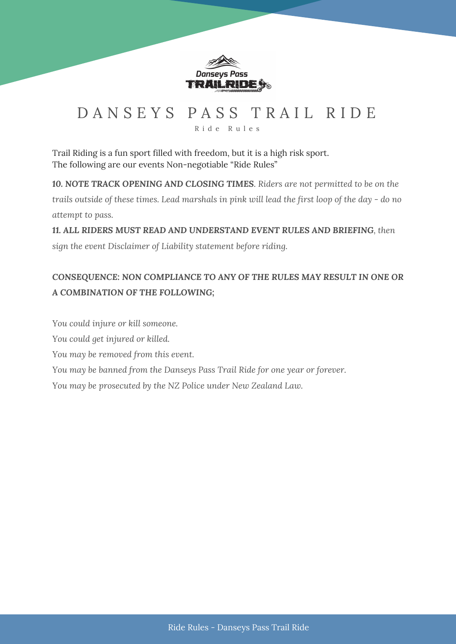

# DANSEYS PASS TRAIL RIDE

R i d e R u l e s

Trail Riding is a fun sport filled with freedom, but it is a high risk sport. The following are our events Non-negotiable "Ride Rules"

*10. NOTE TRACK OPENING AND CLOSING TIMES. Riders are not permitted to be on the* trails outside of these times. Lead marshals in pink will lead the first loop of the day - do no *attempt to pass.*

*11. ALL RIDERS MUST READ AND UNDERSTAND EVENT RULES AND BRIEFING, then sign the event Disclaimer of Liability statement before riding.*

### *CONSEQUENCE: NON COMPLIANCE TO ANY OF THE RULES MAY RESULT IN ONE OR A COMBINATION OF THE FOLLOWING;*

*You could injure or kill someone.*

*You could get injured or killed.*

*You may be removed from this event.*

*You may be banned from the Danseys Pass Trail Ride for one year or forever.*

*You may be prosecuted by the NZ Police under New Zealand Law.*